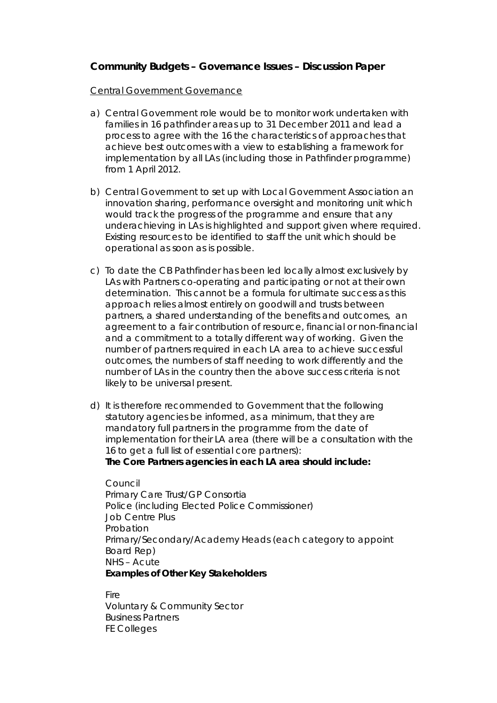## **Community Budgets – Governance Issues – Discussion Paper**

## Central Government Governance

- a) Central Government role would be to monitor work undertaken with families in 16 pathfinder areas up to 31 December 2011 and lead a process to agree with the 16 the characteristics of approaches that achieve best outcomes with a view to establishing a framework for implementation by all LAs (including those in Pathfinder programme) from 1 April 2012.
- b) Central Government to set up with Local Government Association an innovation sharing, performance oversight and monitoring unit which would track the progress of the programme and ensure that any underachieving in LAs is highlighted and support given where required. Existing resources to be identified to staff the unit which should be operational as soon as is possible.
- c) To date the CB Pathfinder has been led locally almost exclusively by LAs with Partners co-operating and participating or not at their own determination. This cannot be a formula for ultimate success as this approach relies almost entirely on goodwill and trusts between partners, a shared understanding of the benefits and outcomes, an agreement to a fair contribution of resource, financial or non-financial and a commitment to a totally different way of working. Given the number of partners required in each LA area to achieve successful outcomes, the numbers of staff needing to work differently and the number of LAs in the country then the above success criteria is not likely to be universal present.
- d) It is therefore recommended to Government that the following statutory agencies be informed, as a minimum, that they are mandatory full partners in the programme from the date of implementation for their LA area (there will be a consultation with the 16 to get a full list of essential core partners): **The Core Partners agencies in each LA area should include:**

Council Primary Care Trust/GP Consortia Police (including Elected Police Commissioner) Job Centre Plus Probation Primary/Secondary/Academy Heads (each category to appoint Board Rep) NHS – Acute **Examples of Other Key Stakeholders** 

**Fire** Voluntary & Community Sector Business Partners FE Colleges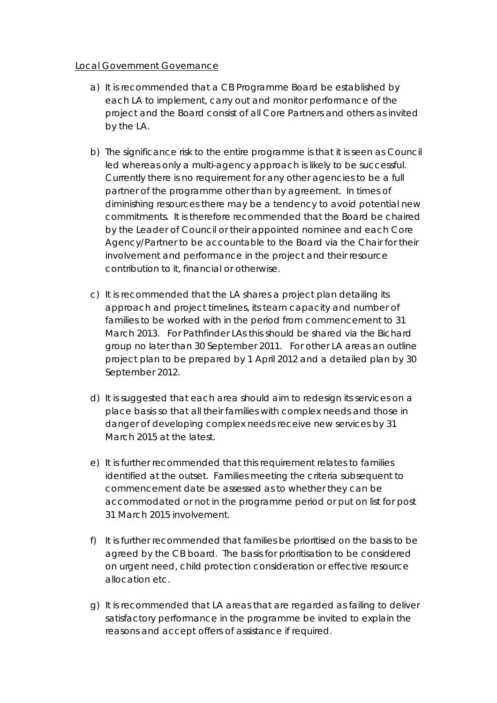## Local Government Governance

- a) It is recommended that a CB Programme Board be established by each LA to implement, carry out and monitor performance of the project and the Board consist of all Core Partners and others as invited by the LA.
- b) The significance risk to the entire programme is that it is seen as Council led whereas only a multi-agency approach is likely to be successful. Currently there is no requirement for any other agencies to be a full partner of the programme other than by agreement. In times of diminishing resources there may be a tendency to avoid potential new commitments. It is therefore recommended that the Board be chaired by the Leader of Council or their appointed nominee and each Core Agency/Partner to be accountable to the Board via the Chair for their involvement and performance in the project and their resource contribution to it, financial or otherwise.
- c) It is recommended that the LA shares a project plan detailing its approach and project timelines, its team capacity and number of families to be worked with in the period from commencement to 31 March 2013. For Pathfinder LAs this should be shared via the Bichard group no later than 30 September 2011. For other LA areas an outline project plan to be prepared by 1 April 2012 and a detailed plan by 30 September 2012.
- d) It is suggested that each area should aim to redesign its services on a place basis so that all their families with complex needs and those in danger of developing complex needs receive new services by 31 March 2015 at the latest.
- e) It is further recommended that this requirement relates to families identified at the outset. Families meeting the criteria subsequent to commencement date be assessed as to whether they can be accommodated or not in the programme period or put on list for post 31 March 2015 involvement.
- f) It is further recommended that families be prioritised on the basis to be agreed by the CB board. The basis for prioritisation to be considered on urgent need, child protection consideration or effective resource allocation etc.
- g) It is recommended that LA areas that are regarded as failing to deliver satisfactory performance in the programme be invited to explain the reasons and accept offers of assistance if required.